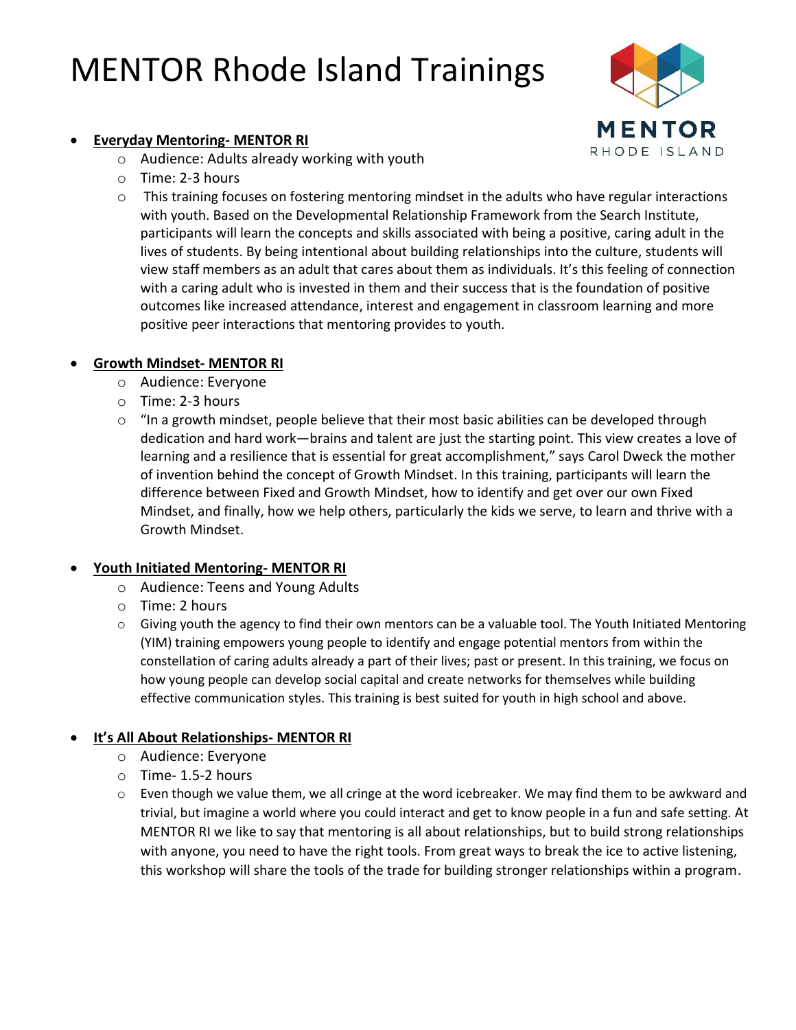# MENTOR Rhode Island Trainings



#### • **Everyday Mentoring- MENTOR RI**

- o Audience: Adults already working with youth
- o Time: 2-3 hours
- $\circ$  This training focuses on fostering mentoring mindset in the adults who have regular interactions with youth. Based on the Developmental Relationship Framework from the Search Institute, participants will learn the concepts and skills associated with being a positive, caring adult in the lives of students. By being intentional about building relationships into the culture, students will view staff members as an adult that cares about them as individuals. It's this feeling of connection with a caring adult who is invested in them and their success that is the foundation of positive outcomes like increased attendance, interest and engagement in classroom learning and more positive peer interactions that mentoring provides to youth.

## • **Growth Mindset- MENTOR RI**

- o Audience: Everyone
- o Time: 2-3 hours
- $\circ$  "In a growth mindset, people believe that their most basic abilities can be developed through dedication and hard work—brains and talent are just the starting point. This view creates a love of learning and a resilience that is essential for great accomplishment," says Carol Dweck the mother of invention behind the concept of Growth Mindset. In this training, participants will learn the difference between Fixed and Growth Mindset, how to identify and get over our own Fixed Mindset, and finally, how we help others, particularly the kids we serve, to learn and thrive with a Growth Mindset.

## • **Youth Initiated Mentoring- MENTOR RI**

- o Audience: Teens and Young Adults
- o Time: 2 hours
- o Giving youth the agency to find their own mentors can be a valuable tool. The Youth Initiated Mentoring (YIM) training empowers young people to identify and engage potential mentors from within the constellation of caring adults already a part of their lives; past or present. In this training, we focus on how young people can develop social capital and create networks for themselves while building effective communication styles. This training is best suited for youth in high school and above.

## • **It's All About Relationships- MENTOR RI**

- o Audience: Everyone
- o Time- 1.5-2 hours
- $\circ$  Even though we value them, we all cringe at the word icebreaker. We may find them to be awkward and trivial, but imagine a world where you could interact and get to know people in a fun and safe setting. At MENTOR RI we like to say that mentoring is all about relationships, but to build strong relationships with anyone, you need to have the right tools. From great ways to break the ice to active listening, this workshop will share the tools of the trade for building stronger relationships within a program.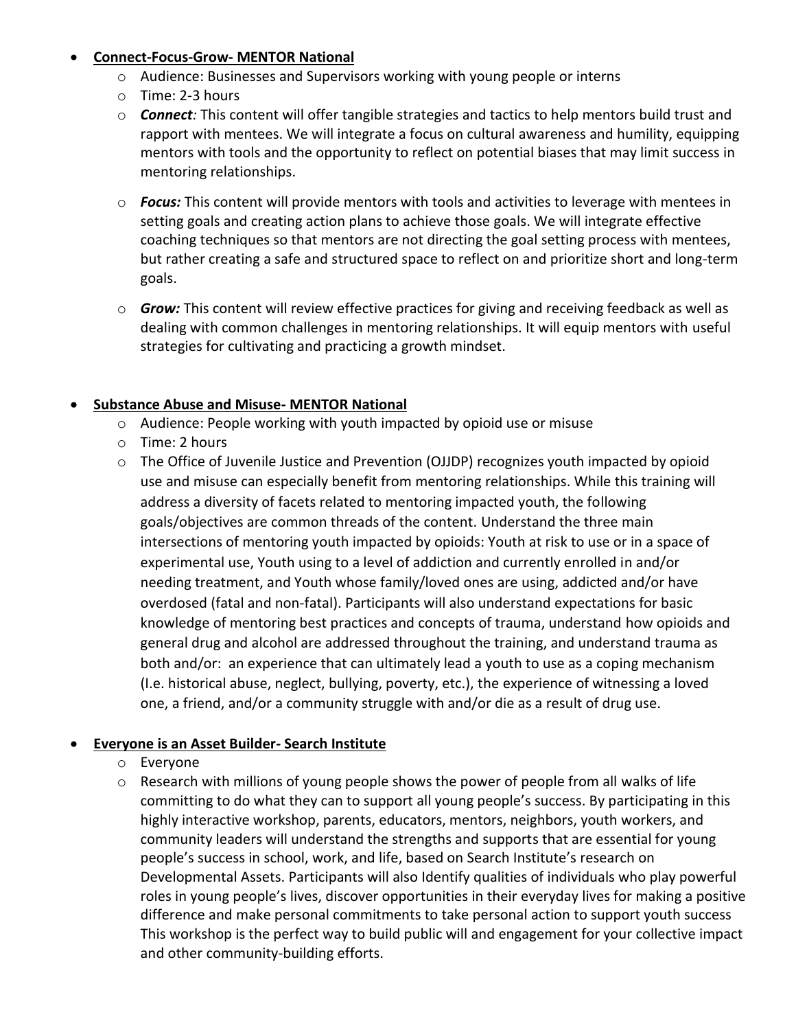## • **Connect-Focus-Grow- MENTOR National**

- o Audience: Businesses and Supervisors working with young people or interns
- o Time: 2-3 hours
- o *Connect:* This content will offer tangible strategies and tactics to help mentors build trust and rapport with mentees. We will integrate a focus on cultural awareness and humility, equipping mentors with tools and the opportunity to reflect on potential biases that may limit success in mentoring relationships.
- o *Focus:* This content will provide mentors with tools and activities to leverage with mentees in setting goals and creating action plans to achieve those goals. We will integrate effective coaching techniques so that mentors are not directing the goal setting process with mentees, but rather creating a safe and structured space to reflect on and prioritize short and long-term goals.
- o *Grow:* This content will review effective practices for giving and receiving feedback as well as dealing with common challenges in mentoring relationships. It will equip mentors with useful strategies for cultivating and practicing a growth mindset.

## • **Substance Abuse and Misuse- MENTOR National**

- o Audience: People working with youth impacted by opioid use or misuse
- o Time: 2 hours
- o The Office of Juvenile Justice and Prevention (OJJDP) recognizes youth impacted by opioid use and misuse can especially benefit from mentoring relationships. While this training will address a diversity of facets related to mentoring impacted youth, the following goals/objectives are common threads of the content. Understand the three main intersections of mentoring youth impacted by opioids: Youth at risk to use or in a space of experimental use, Youth using to a level of addiction and currently enrolled in and/or needing treatment, and Youth whose family/loved ones are using, addicted and/or have overdosed (fatal and non-fatal). Participants will also understand expectations for basic knowledge of mentoring best practices and concepts of trauma, understand how opioids and general drug and alcohol are addressed throughout the training, and understand trauma as both and/or: an experience that can ultimately lead a youth to use as a coping mechanism (I.e. historical abuse, neglect, bullying, poverty, etc.), the experience of witnessing a loved one, a friend, and/or a community struggle with and/or die as a result of drug use.

# • **Everyone is an Asset Builder- Search Institute**

- o Everyone
- o Research with millions of young people shows the power of people from all walks of life committing to do what they can to support all young people's success. By participating in this highly interactive workshop, parents, educators, mentors, neighbors, youth workers, and community leaders will understand the strengths and supports that are essential for young people's success in school, work, and life, based on Search Institute's research on Developmental Assets. Participants will also Identify qualities of individuals who play powerful roles in young people's lives, discover opportunities in their everyday lives for making a positive difference and make personal commitments to take personal action to support youth success This workshop is the perfect way to build public will and engagement for your collective impact and other community-building efforts.